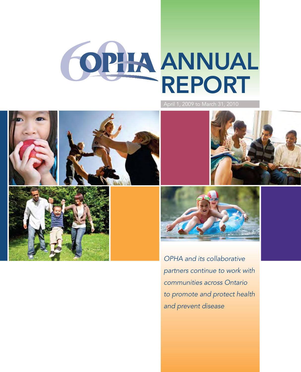

April 1, 2009 to March 31, 2010







*OPHA and its collaborative partners continue to work with communities across Ontario to promote and protect health and prevent disease*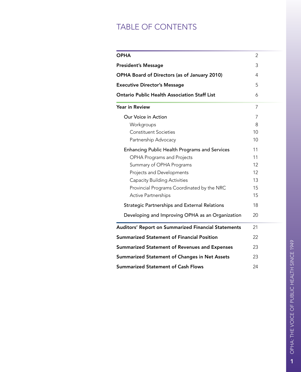# TABLE OF CONTENTS

| <b>OPHA</b>                                          | 2  |  |  |  |  |
|------------------------------------------------------|----|--|--|--|--|
| <b>President's Message</b>                           |    |  |  |  |  |
| <b>OPHA Board of Directors (as of January 2010)</b>  |    |  |  |  |  |
| <b>Executive Director's Message</b>                  | 5  |  |  |  |  |
| <b>Ontario Public Health Association Staff List</b>  | 6  |  |  |  |  |
| <b>Year in Review</b>                                | 7  |  |  |  |  |
| Our Voice in Action                                  | 7  |  |  |  |  |
| Workgroups                                           | 8  |  |  |  |  |
| <b>Constituent Societies</b>                         | 10 |  |  |  |  |
| Partnership Advocacy                                 | 10 |  |  |  |  |
| Enhancing Public Health Programs and Services        | 11 |  |  |  |  |
| <b>OPHA Programs and Projects</b>                    | 11 |  |  |  |  |
| Summary of OPHA Programs                             | 12 |  |  |  |  |
| Projects and Developments                            | 12 |  |  |  |  |
| <b>Capacity Building Activities</b>                  | 13 |  |  |  |  |
| Provincial Programs Coordinated by the NRC           | 15 |  |  |  |  |
| <b>Active Partnerships</b>                           | 15 |  |  |  |  |
| <b>Strategic Partnerships and External Relations</b> | 18 |  |  |  |  |
| Developing and Improving OPHA as an Organization     | 20 |  |  |  |  |
| Auditors' Report on Summarized Financial Statements  | 21 |  |  |  |  |
| <b>Summarized Statement of Financial Position</b>    | 22 |  |  |  |  |
| <b>Summarized Statement of Revenues and Expenses</b> |    |  |  |  |  |
| <b>Summarized Statement of Changes in Net Assets</b> |    |  |  |  |  |
| <b>Summarized Statement of Cash Flows</b>            |    |  |  |  |  |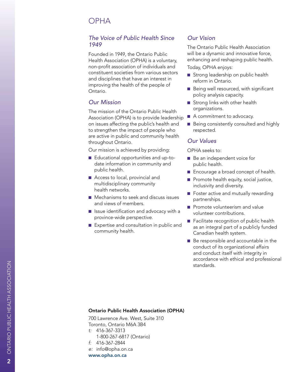# OPHA

### *The Voice of Public Health Since 1949*

Founded in 1949, the Ontario Public Health Association (OPHA) is a voluntary, non-profit association of individuals and constituent societies from various sectors and disciplines that have an interest in improving the health of the people of Ontario.

### *Our Mission*

The mission of the Ontario Public Health Association (OPHA) is to provide leadership on issues affecting the public's health and to strengthen the impact of people who are active in public and community health throughout Ontario.

Our mission is achieved by providing:

- Educational opportunities and up-todate information in community and public health.
- Access to local, provincial and multidisciplinary community health networks.
- $\blacksquare$  Mechanisms to seek and discuss issues and views of members.
- $\blacksquare$  Issue identification and advocacy with a province-wide perspective.
- $\blacksquare$  Expertise and consultation in public and community health.

### *Our Vision*

The Ontario Public Health Association will be a dynamic and innovative force, enhancing and reshaping public health.

Today, OPHA enjoys:

- Strong leadership on public health reform in Ontario.
- $\blacksquare$  Being well resourced, with significant policy analysis capacity.
- $\blacksquare$  Strong links with other health organizations.
- $\blacksquare$  A commitment to advocacy.
- $\blacksquare$  Being consistently consulted and highly respected.

### *Our Values*

OPHA seeks to:

- $\blacksquare$  Be an independent voice for public health.
- Encourage a broad concept of health.
- $\blacksquare$  Promote health equity, social justice, inclusivity and diversity.
- $\blacksquare$  Foster active and mutually rewarding partnerships.
- $\blacksquare$  Promote volunteerism and value volunteer contributions.
- $\blacksquare$  Facilitate recognition of public health as an integral part of a publicly funded Canadian health system.
- Be responsible and accountable in the conduct of its organizational affairs and conduct itself with integrity in accordance with ethical and professional standards.

#### Ontario Public Health Association (OPHA)

700 Lawrence Ave. West, Suite 310 Toronto, Ontario M6A 3 B 4 *t:* 416-367-3313 1-800-267-6817 (Ontario) *f:* 416-367-2844

- *e:* info@opha.on.ca
- www.opha.on.ca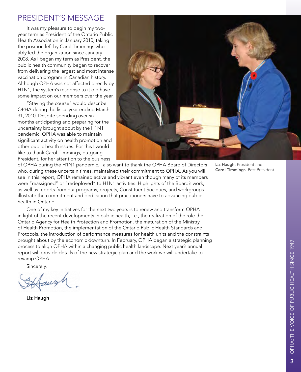## President's Message

It was my pleasure to begin my twoyear term as President of the Ontario Public Health Association in January 2010, taking the position left by Carol Timmings who ably led the organization since January 2008. As I began my term as President, the public health community began to recover from delivering the largest and most intense vaccination program in Canadian history. Although OPHA was not affected directly by H1N1, the system's response to it did have some impact on our members over the year.

"Staying the course" would describe OPHA during the fiscal year ending March 31, 2010. Despite spending over six months anticipating and preparing for the uncertainty brought about by the H1N1 pandemic, OPHA was able to maintain significant activity on health promotion and other public health issues. For this I would like to thank Carol Timmings, outgoing President, for her attention to the business



of OPHA during the H1N1 pandemic. I also want to thank the OPHA Board of Directors who, during these uncertain times, maintained their commitment to OPHA. As you will see in this report, OPHA remained active and vibrant even though many of its members were "reassigned" or "redeployed" to H1N1 activities. Highlights of the Board's work, as well as reports from our programs, projects, Constituent Societies, and workgroups illustrate the commitment and dedication that practitioners have to advancing public health in Ontario.

One of my key initiatives for the next two years is to renew and transform OPHA in light of the recent developments in public health, i.e., the realization of the role the Ontario Agency for Health Protection and Promotion, the maturation of the Ministry of Health Promotion, the implementation of the Ontario Public Health Standards and Protocols, the introduction of performance measures for health units and the constraints brought about by the economic downturn. In February, OPHA began a strategic planning process to align OPHA within a changing public health landscape. Next year's annual report will provide details of the new strategic plan and the work we will undertake to revamp OPHA.

Sincerely,

Liz Haugh

Liz Haugh, President and Carol Timmings, Past President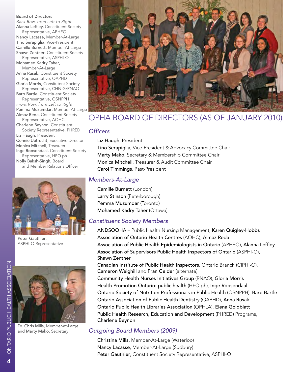#### Board of Directors

*Back Row, from Left to Right:* Alanna Leffley, Constituent Society Representative, APHEO

Nancy Lacasse, Member-At-Large Tino Serapiglia, Vice-President Camille Burnett, Member-At-Large Shawn Zentner, Constituent Society

Representative, ASPHI-O Mohamed Kadry Taher, Member-At-Large

Anna Rusak, Constituent Society Representative, OAPHD

Gloria Morris, Consitutent Society Representative, CHNIG/RNAO

Barb Bartle, Constituent Society Representative, OSNPPH

*Front Row, from Left to Right:* Pemma Muzumdar, Member-At-Large Almaz Reda, Constituent Society

Representative, AOHC Charlene Beynon, Constituent

Society Representative, PHRED Liz Haugh, President Connie Uetrecht, Executive Director Monica Mitchell, Treasurer Inge Roosendaal, Constituent Society Representative, HPO.ph Nolly Baksh-Singh, Board and Member Relations Officer



Peter Gauthier, ASPHI-O Representative



Dr. Chris Mills, Member-at-Large and Marty Mako, Secretary



# OPHA Board of Directors (as of January 2010)

#### *Officers*

Liz Haugh, President Tino Serapiglia, Vice-President & Advocacy Committee Chair Marty Mako, Secretary & Membership Committee Chair Monica Mitchell, Treasurer & Audit Committee Chair Carol Timmings, Past-President

### *Members-At-Large*

Camille Burnett (London) Larry Stinson (Peterborough) Pemma Muzumdar (Toronto) Mohamed Kadry Taher (Ottawa)

### *Constituent Society Members*

ANDSOOHA – Public Health Nursing Management, Karen Quigley-Hobbs Association of Ontario Health Centres (AOHC), Almaz Reda Association of Public Health Epidemiologists in Ontario (APHEO), Alanna Leffley Association of Supervisors Public Health Inspectors of Ontario (ASPHI-O), Shawn Zentner Canadian Institute of Public Health Inspectors, Ontario Branch (CIPHI-O), Cameron Weighill and Fran Gelder (alternate) Community Health Nurses Initiatives Group (RNAO), Gloria Morris Health Promotion Ontario: public health (HPO.ph), Inge Roosendaal Ontario Society of Nutrition Professionals in Public Health (OSNPPH), Barb Bartle Ontario Association of Public Health Dentistry (OAPHD), Anna Rusak Ontario Public Health Libraries Association (OPHLA), Elena Goldblatt Public Health Research, Education and Development (PHRED) Programs, Charlene Beynon

### *Outgoing Board Members (2009)*

Christina Mills, Member-At-Large (Waterloo) Nancy Lacasse, Member-At-Large (Sudbury) Peter Gauthier, Constituent Society Representative, ASPHI-O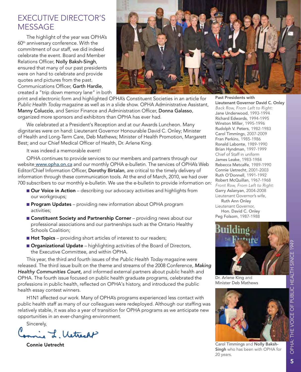# Executive Director's **MESSAGE**

The highlight of the year was OPHA's 60<sup>th</sup> anniversary conference. With the commitment of our staff, we did indeed celebrate the event. Board and Member Relations Officer, Nolly Baksh-Singh, ensured that many of our past presidents were on hand to celebrate and provide quotes and pictures from the past. Communications Officer, Garth Hardie, created a "trip down memory lane" in both



print and electronic form and highlighted OPHA's Constituent Societies in an article for *Public Health Today* magazine as well as in a slide show. OPHA Administrative Assistant, Manny Coluccio, and Senior Finance and Administration Officer, Donna Galasso, organized more sponsors and exhibitors than OPHA has ever had.

We celebrated at a President's Reception and at our Awards Luncheon. Many dignitaries were on hand: Lieutenant Governor Honourable David C. Onley; Minister of Health and Long-Term Care, Deb Mathews; Minister of Health Promotion, Margarett Best; and our Chief Medical Officer of Health, Dr. Arlene King.

It was indeed a memorable event!

OPHA continues to provide services to our members and partners through our website www.opha.on.ca and our monthly OPHA e-bulletin. The services of OPHA's Web Editor/Chief Information Officer, Dorothy Birtalan, are critical to the timely delivery of information through these communication tools. At the end of March, 2010, we had over 700 subscribers to our monthly e-bulletin. We use the e-bulletin to provide information on:

- **Dur Voice in Action** describing our advocacy activities and highlights from our workgroups;
- **Program Updates** providing new information about OPHA program activities;
- **n Constituent Society and Partnership Corner** providing news about our professional associations and our partnerships such as the Ontario Healthy Schools Coalition;
- Hot Topics providing short articles of interest to our readers;
- **n Organizational Update** highlighting activities of the Board of Directors, the Executive Committee, and within OPHA.

This year, the third and fourth issues of the *Public Health Today* magazine were released. The third issue built on the theme and streams of the 2008 Conference, *Making Healthy Communities Count,* and informed external partners about public health and OPHA. The fourth issue focused on public health graduate programs, celebrated the professions in public health, reflected on OPHA's history, and introduced the public health essay contest winners.

H1N1 affected our work. Many of OPHA's programs experienced less contact with public health staff as many of our colleagues were redeployed. Although our staffing was relatively stable, it was also a year of transition for OPHA programs as we anticipate new opportunities in an ever-changing environment.

Sincerely,

mie L. Vetrecht

Connie Uetrecht

Past Presidents with Lieutenant Governor David C. Onley *Back Row, From Left to Right:* Jane Underwood, 1993-1994 Richard Edwards, 1994-1995 Winston Miller, 1995-1996 Rudolph V. Peters, 1982-1983 Carol Timmings, 2007-2009 Fran Perkins, 1985-1986 Ronald Labonte, 1989-1990 Brian Hyndman, 1997-1999 Chief of Staff in uniform James Leake, 1983-1984 Rebecca Metcalfe, 1989-1990 Connie Uetrecht, 2001-2003 Ruth O'Donnell, 1991-1992 Robert McQuillan, 1967-1968 *Front Row, From Left to Right:* Garry Aslanyan, 2004-2008 Lieutenant Governor's wife,

Ruth Ann Onley Lieutenant Governor, Hon. David C. Onley Peg Folsom, 1987-1988



Dr. Arlene King and Minister Deb Mathews



Carol Timmings and Nolly Baksh-Singh who has been with OPHA for 20 years.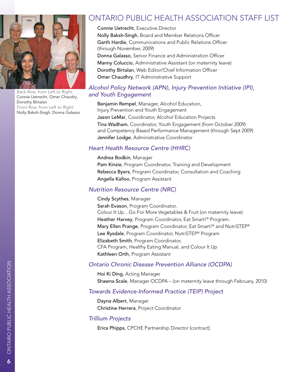

*Back Row, from Left to Right:*  Connie Uetrecht, Omer Chaudry, Dorothy Birtalan *Front Row, from Left to Right:*  Nolly Baksh-Singh, Donna Galasso

# Ontario Public Health Association Staff List

Connie Uetrecht, Executive Director Nolly Baksh-Singh, Board and Member Relations Officer Garth Hardie, Communications and Public Relations Officer (through November, 2009) Donna Galasso, Senior Finance and Administration Officer Manny Coluccio, Administrative Assistant (on maternity leave) Dorothy Birtalan, Web Editor/Chief Information Officer Omer Chaudhry, IT Administrative Support

### *Alcohol Policy Network (APN), Injury Prevention Initiative (IPI), and Youth Engagement*

Benjamin Rempel, Manager, Alcohol Education, Injury Prevention and Youth Engagement Jason LeMar, Coordinator, Alcohol Education Projects Tina Wadham, Coordinator, Youth Engagement (from October 2009) and Competency Based Performance Management (through Sept 2009) Jennifer Lodge, Administrative Coordinator

### *Heart Health Resource Centre (HHRC)*

#### Andrea Bodkin, Manager

Pam Kinzie, Program Coordinator, Training and Development Rebecca Byers, Program Coordinator, Consultation and Coaching Angella Kalloo, Program Assistant

### *Nutrition Resource Centre (NRC)*

Cindy Scythes, Manager Sarah Evason, Program Coordinator, Colour It Up…Go For More Vegetables & Fruit (on maternity leave) Heather Harvey, Program Coordinator, Eat Smart!® Program. Mary Ellen Prange, Program Coordinator, Eat Smart!® and NutriSTEP® Lee Rysdale, Program Coordinator, NutriSTEP® Program Elizabeth Smith, Program Coordinator, CFA Program, Healthy Eating Manual, and Colour It Up Kathleen Orth, Program Assistant

### *Ontario Chronic Disease Prevention Alliance (OCDPA)*

Hoi Ki Ding, Acting Manager Shawna Scale, Manager OCDPA – (on maternity leave through February, 2010)

### *Towards Evidence-Informed Practice (TEIP) Project*

Dayna Albert, Manager Christine Herrera, Project Coordinator

### *Trillium Projects*

Erica Phipps, CPCHE Partnership Director (contract)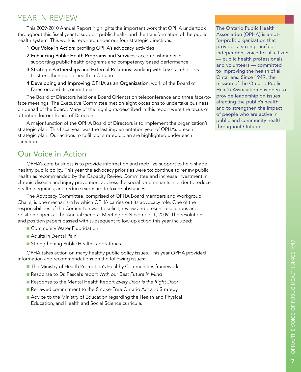# YEAR IN REVIEW

This 2009-2010 Annual Report highlights the important work that OPHA undertook throughout this fiscal year to support public health and the transformation of the public health system. This work is reported under our four strategic directions:

- 1 Our Voice in Action: profiling OPHA's advocacy activities
- 2 Enhancing Public Heath Programs and Services: accomplishments in supporting public health programs and competency based performance
- 3 Strategic Partnerships and External Relations: working with key stakeholders to strengthen public health in Ontario
- 4 Developing and Improving OPHA as an Organization: work of the Board of Directors and its committees

The Board of Directors held one Board Orientation teleconference and three face-toface meetings. The Executive Committee met on eight occasions to undertake business on behalf of the Board. Many of the highlights described in this report were the focus of attention for our Board of Directors.

A major function of the OPHA Board of Directors is to implement the organization's strategic plan. This fiscal year was the last implementation year of OPHA's present strategic plan. Our actions to fulfill our strategic plan are highlighted under each direction.

# Our Voice in Action

OPHA's core business is to provide information and mobilize support to help shape healthy public policy. This year the advocacy priorities were to: continue to renew public health as recommended by the Capacity Review Committee and increase investment in chronic disease and injury prevention; address the social determinants in order to reduce health inequities; and reduce exposure to toxic substances.

The Advocacy Committee, comprised of OPHA Board members and Workgroup Chairs, is one mechanism by which OPHA carries out its advocacy role. One of the responsibilities of the Committee was to solicit, review and present resolutions and position papers at the Annual General Meeting on November 1, 2009. The resolutions and position papers passed with subsequent follow-up action this year included:

- **n** Community Water Fluoridation
- **n** Adults in Dental Pain
- **n** Strengthening Public Health Laboratories

OPHA takes action on many healthy public policy issues. This year OPHA provided information and recommendations on the following issues:

- The Ministry of Health Promotion's Healthy Communities framework
- n Response to Dr. Pascal's report *With our Best Future in Mind*
- Response to the Mental Health Report *Every Door is the Right Door*
- Renewed commitment to the Smoke-Free Ontario Act and Strategy
- Advice to the Ministry of Education regarding the Health and Physical Education, and Health and Social Science curricula.

The Ontario Public Health Association (OPHA) is a notfor-profit organization that provides a strong, unified independent voice for all citizens — public health professionals and volunteers — committed to improving the health of all Ontarians. Since 1949, the mission of the Ontario Public Health Association has been to provide leadership on issues affecting the public's health and to strengthen the impact of people who are active in public and community health throughout Ontario.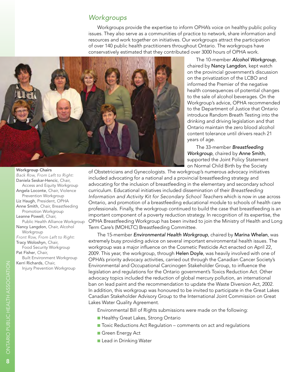### *Workgroups*

Workgroups provide the expertise to inform OPHA's voice on healthy public policy issues. They also serve as a communities of practice to network, share information and resources and work together on initiatives. Our workgroups attract the participation of over 140 public health practitioners throughout Ontario. The workgroups have conservatively estimated that they contributed over 3000 hours of OPHA work.



The 10-member *Alcohol Workgroup*, chaired by Nancy Langdon, kept watch on the provincial government's discussion on the privatization of the LCBO and informed the Premier of the negative health consequences of potential changes to the sale of alcohol beverages. On the Workgroup's advice, OPHA recommended to the Department of Justice that Ontario introduce Random Breath Testing into the drinking and driving legislation and that Ontario maintain the zero blood alcohol content tolerance until drivers reach 21 years of age.

The 33-member *Breastfeeding Workgroup*, chaired by Anne Smith, supported the Joint Policy Statement on Normal Child Birth by the Society

of Obstetricians and Gynecologists. The workgroup's numerous advocacy initiatives included advocating for a national and a provincial breastfeeding strategy and advocating for the inclusion of breastfeeding in the elementary and secondary school curriculum. Educational initiatives included dissemination of their *Breastfeeding Information and Activity Kit for Secondary School Teachers* which is now in use across Ontario, and promotion of a breastfeeding educational module to schools of health care professionals. Finally, the workgroup continued to build the case that breastfeeding is an important component of a poverty reduction strategy. In recognition of its expertise, the OPHA Breastfeeding Workgroup has been invited to join the Ministry of Health and Long Term Care's (MOHLTC) Breastfeeding Committee.

The 15-member *Environmental Health Workgroup*, chaired by Marina Whelan, was extremely busy providing advice on several important environmental health issues. The workgroup was a major influence on the Cosmetic Pesticide Act enacted on April 22, 2009. This year, the workgroup, through Helen Doyle, was heavily involved with one of OPHA's priority advocacy activities, carried out through the Canadian Cancer Society's Environmental and Occupational Carcinogen Stakeholder Group, to influence the legislation and regulations for the Ontario government's Toxics Reduction Act. Other advocacy topics included the reduction of global mercury pollution, an international ban on lead paint and the recommendation to update the Waste Diversion Act, 2002. In addition, this workgroup was honoured to be invited to participate in the Great Lakes Canadian Stakeholder Advisory Group to the International Joint Commission on Great Lakes Water Quality Agreement.

Environmental Bill of Rights submissions were made on the following:

- **Healthy Great Lakes, Strong Ontario**
- Toxic Reductions Act Regulation comments on act and regulations
- **n** Green Energy Act
- **n** Lead in Drinking Water

*Back Row, From Left to Right:* Daniela Seskar-Hencic, Chair, Access and Equity Workgroup Angela Loconte, Chair, Violence Prevention Workgroup Liz Haugh, President, OPHA Anne Smith, Chair, Breastfeeding Promotion Workgroup Leanne Powell, Chair, Public Health Alliance Workgroup Nancy Langdon, Chair, Alcohol Workgroup *Front Row, From Left to Right:* Tracy Woloshyn, Chair, Food Security Workgroup Pat Fisher, Chair, Built Environment Workgroup

Kerri Richards, Chair, Injury Prevention Workgroup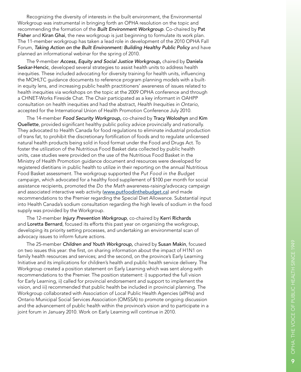Recognizing the diversity of interests in the built environment, the Environmental Workgroup was instrumental in bringing forth an OPHA resolution on the topic and recommending the formation of the *Built Environment Workgroup*. Co-chaired by Pat Fisher and Kiran Ghai, the new workgroup is just beginning to formulate its work plan. The 11-member workgroup has taken a lead role in development of the 2010 OPHA Fall Forum, *Taking Action on the Built Environment: Building Healthy Public Policy* and have planned an informational webinar for the spring of 2010.

The 9-member *Access, Equity and Social Justice Workgroup ,* chaired by Daniela Seskar-Hencic, developed several strategies to assist health units to address health inequities. These included advocating for diversity training for health units, influencing the MOH LT C guidance documents to reference program planning models with a builtin equity lens, and increasing public health practitioners' awareness of issues related to health inequities via workshops on the topic at the 2009 OPHA conference and through a CHNET-Works Fireside Chat. The Chair participated as a key informant in OAHPP consultation on health inequities and had the abstract, *Health Inequities in Ontario*, accepted for the International Union of Health Promotion Conference July 2010.

The 14-member *Food Security Workgroup,* co-chaired by Tracy Woloshyn and Kim Ouellette, provided significant healthy public policy advice provincially and nationally. They advocated to Health Canada for food regulations to eliminate industrial production of trans fat, to prohibit the discretionary fortification of foods and to regulate unlicensed natural health products being sold in food format under the Food and Drugs Act. To foster the utilization of the Nutritious Food Basket data collected by public health units, case studies were provided on the use of the Nutritious Food Basket in the Ministry of Health Promotion guidance document and resources were developed for registered dietitians in public health to utilize in their reporting on the annual Nutritious Food Basket assessment. The workgroup supported the *Put Food in the Budget* campaign, which advocated for a healthy food supplement of \$100 per month for social assistance recipients, promoted the *Do the Math* awareness-raising/advocacy campaign and associated interactive web activity (www.putfoodinthebudget.ca) and made recommendations to the Premier regarding the Special Diet Allowance. Substantial input into Health Canada's sodium consultation regarding the high levels of sodium in the food supply was provided by the Workgroup.

The 12-member *Injury Prevention Workgroup*, co-chaired by Kerri Richards and Loretta Bernard, focused its efforts this past year on organizing the workgroup, developing its priority setting processes, and undertaking an environmental scan of advocacy issues to inform future actions.

The 25-member *Children and Youth Workgroup,* chaired by Susan Makin, focused on two issues this year: the first, on sharing information about the impact of H1 N1 on family health resources and services; and the second, on the province's Early Learning Initiative and its implications for children's health and public health service delivery. The Workgroup created a position statement on Early Learning which was sent along with recommendations to the Premier. The position statement: i) supported the full vision for Early Learning, ii) called for provincial endorsement and support to implement the vision, and iii) recommended that public health be included in provincial planning. The Workgroup collaborated with Association of Local Public Health Agencies (alPHa) and Ontario Municipal Social Services Association (OMSSA) to promote ongoing discussion and the advancement of public health within the province's vision and to participate in a joint forum in January 2010. Work on Early Learning will continue in 2010.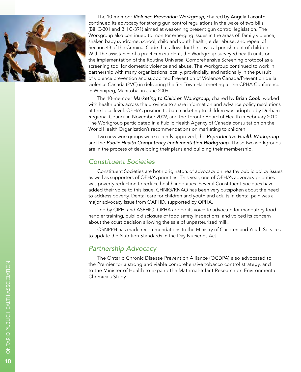

The 10-member *Violence Prevention Workgroup,* chaired by Angela Laconte, continued its advocacy for strong gun control regulations in the wake of two bills (Bill C-301 and Bill C-391) aimed at weakening present gun control legislation. The Workgroup also continued to monitor emerging issues in the areas of: family violence; shaken baby syndrome; school, child and youth health; elder abuse; and repeal of Section 43 of the Criminal Code that allows for the physical punishment of children. With the assistance of a practicum student, the Workgroup surveyed health units on the implementation of the Routine Universal Comprehensive Screening protocol as a screening tool for domestic violence and abuse. The Workgroup continued to work in partnership with many organizations locally, provincially, and nationally in the pursuit of violence prevention and supported Prevention of Violence Canada/Prévention de la violence Canada (PVC) in delivering the 5th Town Hall meeting at the CPHA Conference in Winnipeg, Manitoba, in June 2009.

The 10-member *Marketing to Children Workgroup,* chaired by Brian Cook, worked with health units across the province to share information and advance policy resolutions at the local level. OPHA's position to ban marketing to children was adopted by Durham Regional Council in November 2009, and the Toronto Board of Health in February 2010. The Workgroup participated in a Public Health Agency of Canada consultation on the World Health Organization's recommendations on marketing to children.

Two new workgroups were recently approved, the *Reproductive Health Workgroup*  and the *Public Health Competency Implementation Workgroup.* These two workgroups are in the process of developing their plans and building their membership.

## *Constituent Societies*

Constituent Societies are both originators of advocacy on healthy public policy issues as well as supporters of OPHA's priorities. This year, one of OPHA's advocacy priorities was poverty reduction to reduce health inequities. Several Constituent Societies have added their voice to this issue. C HNIG/R NAO has been very outspoken about the need to address poverty. Dental care for children and youth and adults in dental pain was a major advocacy issue from OAPHD, supported by OPHA. Led by CIPHI and ASPHIO, OPHA added its voice to advocate for mandatory food

handler training, public disclosure of food safety inspections, and voiced its concern about the court decision allowing the sale of unpasteurized milk.

OSNPPH has made recommendations to the Ministry of Children and Youth Services to update the Nutrition Standards in the Day Nurseries Act.

### *Partnership Advocacy*

The Ontario Chronic Disease Prevention Alliance (O CDPA) also advocated to the Premier for a strong and viable comprehensive tobacco control strategy, and to the Minister of Health to expand the Maternal-Infant Research on Environmental Chemicals Study.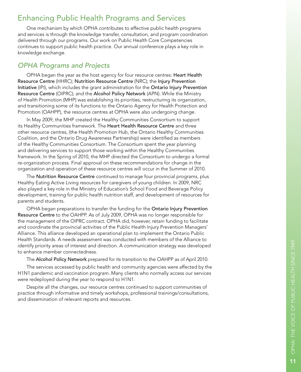# Enhancing Public Health Programs and Services

One mechanism by which OPHA contributes to effective public health programs and services is through the knowledge transfer, consultation, and program coordination delivered through our programs. Our work on Public Health Core Competencies continues to support public health practice. Our annual conference plays a key role in knowledge exchange.

## *OPHA Programs and Projects*

OPHA began the year as the host agency for four resource centres: Heart Health Resource Centre (HHRC); Nutrition Resource Centre (NRC); the Injury Prevention Initiative (IPI), which includes the grant administration for the Ontario Injury Prevention Resource Centre (O IPR C); and the Alcohol Policy Network (AP N). While the Ministry of Health Promotion (MHP) was establishing its priorities, restructuring its organization, and transitioning some of its functions to the Ontario Agency for Health Protection and Promotion (OAHPP), the resource centres at OPHA were also undergoing change.

In May 2009, the MHP created the Healthy Communities Consortium to support its Healthy Communities framework. The Heart Health Resource Centre and three other resource centres, (the Health Promotion Hub, the Ontario Healthy Communities Coalition, and the Ontario Drug Awareness Partnership) were identified as members of the Healthy Communities Consortium. The Consortium spent the year planning and delivering services to support those working within the Healthy Communities framework. In the Spring of 2010, the MHP directed the Consortium to undergo a formal re-organization process. Final approval on these recommendations for change in the organization and operation of these resource centres will occur in the Summer of 2010.

The Nutrition Resource Centre continued to manage four provincial programs, plus Healthy Eating Active Living resources for caregivers of young children. In 2009, NRC also played a key role in the Ministry of Education's School Food and Beverage Policy development, training for public health nutrition staff, and development of resources for parents and students.

OPHA began preparations to transfer the funding for the Ontario Injury Prevention Resource Centre to the OAHPP. As of July 2009, OPHA was no longer responsible for the management of the O IPR C contract. OPHA did, however, retain funding to facilitate and coordinate the provincial activities of the Public Health Injury Prevention Managers' Alliance. This alliance developed an operational plan to implement the Ontario Public Health Standards. A needs assessment was conducted with members of the Alliance to identify priority areas of interest and direction. A communication strategy was developed to enhance member connectedness.

The Alcohol Policy Network prepared for its transition to the OAHPP as of April 2010.

The services accessed by public health and community agencies were affected by the H1 N1 pandemic and vaccination program. Many clients who normally access our services were redeployed during the year to respond to H1 N1.

Despite all the changes, our resource centres continued to support communities of practice through informative and timely workshops, professional trainings/consultations, and dissemination of relevant reports and resources.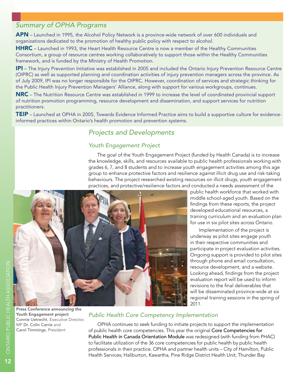## *Summary of OPHA Programs*

APN – Launched in 1995, the Alcohol Policy Network is a province-wide network of over 600 individuals and organizations dedicated to the promotion of healthy public policy with respect to alcohol.

HHRC – Launched in 1993, the Heart Health Resource Centre is now a member of the Healthy Communities Consortium, a group of resource centres working collaboratively to support those within the Healthy Communities framework, and is funded by the Ministry of Health Promotion.

IPI - The Injury Prevention Initiative was established in 2005 and included the Ontario Injury Prevention Resource Centre (OIPRC) as well as supported planning and coordination activities of injury prevention managers across the province. As of July 2009, IPI was no longer responsible for the OIPRC. However, coordination of services and strategic thinking for the Public Health Injury Prevention Managers' Alliance, along with support for various workgroups, continues.

NRC – The Nutrition Resource Centre was established in 1999 to increase the level of coordinated provincial support of nutrition promotion programming, resource development and dissemination, and support services for nutrition practitioners.

**TEIP** – Launched at OPHA in 2005, Towards Evidence Informed Practice aims to build a supportive culture for evidenceinformed practices within Ontario's health promotion and prevention systems.

## *Projects and Developments*

### *Youth Engagement Project*

The goal of the Youth Engagement Project (funded by Health Canada) is to increase the knowledge, skills, and resources available to public health professionals working with grades 6, 7, and 8 students and to increase youth engagement activities among this age group to enhance protective factors and resilience against illicit drug use and risk-taking behaviours. The project researched existing resources on illicit drugs, youth engagement practices, and protective/resilience factors and conducted a needs assessment of the



public health workforce that worked with middle school-aged youth. Based on the findings from these reports, the project developed educational resources, a training curriculum and an evaluation plan for use in six pilot sites across Ontario.

Implementation of the project is underway as pilot sites engage youth in their respective communities and participate in project evaluation activities. Ongoing support is provided to pilot sites through phone and email consultation, resource development, and a website. Looking ahead, findings from the project evaluation report will be used to inform revisions to the final deliverables that will be disseminated province-wide at six regional training sessions in the spring of 2011.

## *Public Health Core Competency Implementation*

OPHA continues to seek funding to initiate projects to support the implementation of public health core competencies. This year the original Core Competencies for Public Health in Canada Orientation Module was redesigned (with funding from PHAC) to facilitate utilization of the 36 core competencies for public health by public health professionals in their practice. OPHA and partner health units – City of Hamilton, Public Health Services; Haliburton, Kawartha, Pine Ridge District Health Unit; Thunder Bay

Press Conference announcing the Youth Engagement project Connie Uetrecht, Executive Director, MP Dr. Colin Carrie and Carol Timmings, President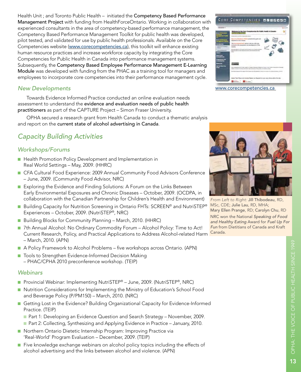Health Unit ; and Toronto Public Health – initiated the Competency Based Performance Management Project with funding from HealthForceOntario. Working in collaboration with experienced consultants in the area of competency-based performance management, the Competency Based Performance Management Toolkit for public health was developed, pilot tested, and validated for use by public health professionals. Available on the Core Competencies website (www.corecompetencies.ca), this toolkit will enhance existing human resource practices and increase workforce capacity by integrating the Core Competencies for Public Health in Canada into performance management systems. Subsequently, the Competency Based Employee Performance Management E-Learning Module was developed with funding from the PHAC as a training tool for managers and employees to incorporate core competencies into their performance management cycle.

### *New Developments*

Towards Evidence Informed Practice conducted an online evaluation needs assessment to understand the evidence and evaluation needs of public health practitioners as part of the CAPTURE Project – Simon Fraser University.

OPHA secured a research grant from Health Canada to conduct a thematic analysis and report on the current state of alcohol advertising in Canada.

## *Capacity Building Activities*

### *Workshops/Forums*

- Health Promotion Policy Development and Implementation in Real World Settings – May, 2009. (HHRC)
- **n CFA Cultural Food Experience: 2009 Annual Community Food Advisors Conference** – June, 2009. (Community Food Advisor, NRC)
- Exploring the Evidence and Finding Solutions: A Forum on the Links Between Early Environmental Exposures and Chronic Diseases – October, 2009. (OCDPA, in collaboration with the Canadian Partnership for Children's Health and Environment)
- Building Capacity for Nutrition Screening in Ontario FHTs: SCREEN<sup>®</sup> and NutriSTEP<sup>®</sup> Experiences – October, 2009. (NutriSTEP®, NRC)
- Building Blocks for Community Planning March, 2010. (HHRC)
- 7th Annual Alcohol: No Ordinary Commodity Forum Alcohol Policy: Time to Act! Current Research, Policy, and Practical Applications to Address Alcohol-related Harm – March, 2010. (APN)
- A Policy Framework to Alcohol Problems five workshops across Ontario. (APN)
- Tools to Strengthen Evidence-Informed Decision Making
- PHAC/CPHA 2010 preconference workshop. (TEIP)

### *Webinars*

- Provincial Webinar: Implementing NutriSTEP® June, 2009. (NutriSTEP®, NRC)
- **n** Nutrition Considerations for Implementing the Ministry of Education's School Food and Beverage Policy (P/PM150) – March, 2010. (NRC)
- **n** Getting Lost in the Evidence? Building Organizational Capacity for Evidence-Informed Practice. (TEIP)
	- **n** Part 1: Developing an Evidence Question and Search Strategy November, 2009.
	- **n** Part 2: Collecting, Synthesizing and Applying Evidence in Practice January, 2010.
- Northern Ontario Dietetic Internship Program: Improving Practice via 'Real-World' Program Evaluation – December, 2009. (TEIP)
- **n** Five knowledge exchange webinars on alcohol policy topics including the effects of alcohol advertising and the links between alcohol and violence. (APN)



www.corecompetencies.ca



*From Left to Right:* Jill Thibodeau, RD, MSc, CDE; Julie Lau, RD, MHA; Mary Ellen Prange, RD; Carolyn Chu, RD NRC won the National *Speaking of Food and Healthy Eating* Award for *Fuel Up For Fun* from Dietitians of Canada and Kraft Canada.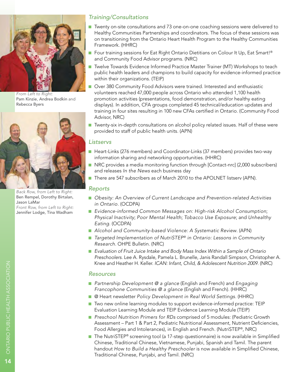

*From Left to Right:*  Pam Kinzie, Andrea Bodkin and Rebecca Byers



*Back Row, from Left to Right:*  Ben Rempel, Dorothy Birtalan, Jason LaMar *Front Row, from Left to Right:*  Jennifer Lodge, Tina Wadham

## *Training/Consultations*

- Twenty on-site consultations and 73 one-on-one coaching sessions were delivered to Healthy Communities Partnerships and coordinators. The focus of these sessions was on transitioning from the Ontario Heart Health Program to the Healthy Communities Framework. (HHRC)
- Four training sessions for Eat Right Ontario Dietitians on Colour It Up, Eat Smart!® and Community Food Advisor programs. (NRC)
- Twelve Towards Evidence Informed Practice Master Trainer (MT) Workshops to teach public health leaders and champions to build capacity for evidence-informed practice within their organizations. (TEIP)
- **D** Over 380 Community Food Advisors were trained. Interested and enthusiastic volunteers reached 47,000 people across Ontario who attended 1,100 health promotion activities (presentations, food demonstration, and/or healthy eating displays). In addition, CFA groups completed 45 technical/education updates and training in four sites resulting in 100 new CFAs certified in Ontario. (Community Food Advisor, NRC)
- **n** Twenty-six in-depth consultations on alcohol policy related issues. Half of these were provided to staff of public health units. (APN)

#### *Listservs*

- Heart-Links (276 members) and Coordinator-Links (37 members) provides two-way information sharing and networking opportunities. (HHRC)
- n NRC provides a media monitoring function through [Contact-nrc] (2,000 subscribers) and releases *In the News* each business day
- There are 547 subscribers as of March 2010 to the APOLNET listserv (APN).

#### *Reports*

- Obesity: An Overview of Current Landscape and Prevention-related Activities *in Ontario.* (OCDPA)
- *Evidence-informed Common Messages on: High-risk Alcohol Consumption; Physical Inactivity*; *Poor Mental Health*; *Tobacco Use Exposure*; and *Unhealthy Eating*. (OCDPA)
- Alcohol and Community-based Violence: A Systematic Review. (APN)
- *Targeted Implementation of NutriSTEP<sup>®</sup> in Ontario: Lessons in Community Research*. OHPE Bulletin. (NRC)
- *Evaluation of Fruit Juice Intake and Body Mass Index Within a Sample of Ontario Preschoolers.* Lee A. Rysdale, Pamela L. Brunelle, Janis Randall Simpson, Christopher A. Knee and Heather H. Keller. *ICAN: Infant, Child, & Adolescent Nutrition 2009*. (NRC)

#### *Resources*

- *Partnership Development @ a glance* (English and French) and *Engaging Francophone Communities @ a glance* (English and French). (HHRC)
- @ Heart newsletter *Policy Development in Real World Settings*. (HHRC)
- Two new online learning modules to support evidence-informed practice: TEIP Evaluation Learning Module and TEIP Evidence Learning Module (TEIP)
- *Preschool Nutrition Primers for RDs* comprised of 5 modules: (Pediatric Growth Assessment – Part 1 & Part 2, Pediatric Nutritional Assessment, Nutrient Deficiencies, Food Allergies and Intolerances), in English and French. (NutriSTEP®, NRC)
- The NutriSTEP<sup>®</sup> screening tool (a 17-step questionnaire) is now available in Simplified Chinese, Traditional Chinese, Vietnamese, Punjabi, Spanish and Tamil. The parent handout *How to Build a Healthy Preschooler* is now available in Simplified Chinese, Traditional Chinese, Punjabi, and Tamil. (NRC)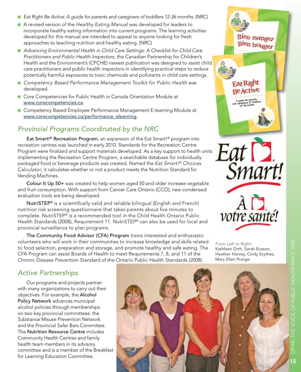- *Eat Right Be Active: A guide for parents and caregivers of toddlers 12-36 months*. (NRC)
- n A revised version of the *Healthy Eating Manual* was developed for leaders to incorporate healthy eating information into current programs. The learning activities developed for this manual are intended to appeal to anyone looking for fresh approaches to teaching nutrition and healthy eating. (NRC)
- Advancing Environmental Health in Child Care Settings: A Checklist for Child Care *Practitioners and Public Health Inspectors*, the Canadian Partnership for Children's Health and the Environment's (CPCHE) newest publication was designed to assist child care practitioners and public health inspectors in identifying practical steps to reduce potentially harmful exposures to toxic chemicals and pollutants in child care settings.
- Competency Based Performance Management Toolkit for Public Health was developed.
- Core Competencies for Public Health in Canada Orientation Module at www.corecompetencies.ca.
- Competency Based Employee Performance Management E-learning Module at www.corecompetencies.ca/performance\_elearning.

## *Provincial Programs Coordinated by the NRC*

Eat Smart!® Recreation Program, an expansion of the Eat Smart!® program into recreation centres was launched in early 2010. Standards for the Recreation Centre Program were finalized and support materials developed. As a key support to health units implementing the Recreation Centre Program, a searchable database for individually packaged food or beverage products was created. Named the *Eat Smart!® Choices Calculator*, it calculates whether or not a product meets the Nutrition Standard for Vending Machines.

Colour It Up 50+ was created to help women aged 50 and older increase vegetable and fruit consumption. With support from Cancer Care Ontario (CCO), new condensed evaluation tools are being developed.

NutriSTEP® is a scientifically valid and reliable bilingual (English and French) nutrition risk screening questionnaire that takes parents about five minutes to complete. NutriSTEP® is a recommended tool in the Child Health Ontario Public Health Standards (2008), Requirement 11. NutriSTEP® can also be used for local and provincial surveillance to plan programs.

The Community Food Advisor (CFA) Program trains interested and enthusiastic volunteers who will work in their communities to increase knowledge and skills related to food selection, preparation and storage, and promote healthy and safe eating. The CFA Program can assist Boards of Health to meet Requirements 7, 8, and 11 of the Chronic Disease Prevention Standard of the Ontario Public Health Standards (2008).



*From Left to Right:* Kathleen Orth, Sarah Evason, Heather Harvey, Cindy Scythes, Mary Ellen Prange

## *Active Partnerships*

Our programs and projects partner with many organizations to carry out their objectives. For example, the Alcohol Policy Network advances municipal alcohol policies through memberships on two key provincial committees: the Substance Misuse Prevention Network and the Provincial Safer Bars Committee. The Nutrition Resource Centre includes Community Health Centres and family health team members in its advisory committee and is a member of the Breakfast for Learning Education Committee.

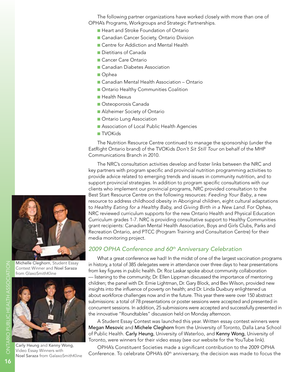The following partner organizations have worked closely with more than one of OPHA's Programs, Workgroups and Strategic Partnerships.

- **n** Heart and Stroke Foundation of Ontario
- **n** Canadian Cancer Society, Ontario Division
- **n** Centre for Addiction and Mental Health
- n Dietitians of Canada
- Cancer Care Ontario
- Canadian Diabetes Association
- n Ophea
- Canadian Mental Health Association Ontario
- **n** Ontario Healthy Communities Coalition
- Health Nexus
- **n** Osteoporosis Canada
- **n** Alzheimer Society of Ontario
- **n** Ontario Lung Association
- **Association of Local Public Health Agencies**
- n TVOKids

The Nutrition Resource Centre continued to manage the sponsorship (under the EatRight Ontario brand) of the TVOKids *Don't Sit Still Tour* on behalf of the MHP Communications Branch in 2010.

The NRC's consultation activities develop and foster links between the NRC and key partners with program specific and provincial nutrition programming activities to provide advice related to emerging trends and issues in community nutrition, and to support provincial strategies. In addition to program specific consultations with our clients who implement our provincial programs, NRC provided consultation to the Best Start Resource Centre on the following resources: *Feeding Your Baby*, a new resource to address childhood obesity in Aboriginal children, eight cultural adaptations to *Healthy Eating for a Healthy Baby,* and *Giving Birth in a New Land*. For Ophea, NRC reviewed curriculum supports for the new Ontario Health and Physical Education Curriculum grades 1-7. NRC is providing consultative support to Healthy Communities grant recipients: Canadian Mental Health Association, Boys and Girls Clubs, Parks and Recreation Ontario, and PTCC (Program Training and Consultation Centre) for their media monitoring project.

### *2009 OPHA Conference and 60th Anniversary Celebration*

What a great conference we had! In the midst of one of the largest vaccination programs in history, a total of 385 delegates were in attendance over three days to hear presentations from key figures in public health. Dr. Roz Laskar spoke about community collaboration — listening to the community; Dr. Ellen Lippman discussed the importance of mentoring children; the panel with Dr. Ernie Lightman, Dr. Gary Block, and Bev Wilson, provided new insights into the influence of poverty on health; and Dr. Linda Duxbury enlightened us about workforce challenges now and in the future. This year there were over 150 abstract submissions: a total of 78 presentations or poster sessions were accepted and presented in concurrent sessions. In addition, 25 submissions were accepted and successfully presented in the innovative "Roundtables" discussion held on Monday afternoon.

A Student Essay Contest was launched this year. Written essay contest winners were Megan Mesovic and Michele Cleghorn from the University of Toronto, Dalla Lana School of Public Health. Carly Heung, University of Waterloo, and Kenny Wong, University of Toronto, were winners for their video essay (see our website for the YouTube link).

OPHA's Constituent Societies made a significant contribution to the 2009 OPHA Conference. To celebrate OPHA's 60<sup>th</sup> anniversary, the decision was made to focus the



Michelle Cleghorn, Student Essay Contest Winner and Noel Saraza

from GlaxoSmithKline



Carly Heung and Kenny Wong, Video Essay Winners with Noel Saraza from GalaxoSmithKline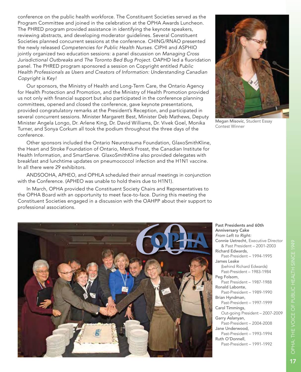conference on the public health workforce. The Constituent Societies served as the Program Committee and joined in the celebration at the OPHA Awards Luncheon. The PHRED program provided assistance in identifying the keynote speakers, reviewing abstracts, and developing moderator guidelines. Several Constituent Societies planned concurrent sessions at the conference. CHING/RNAO presented the newly released *Competencies for Public Health Nurses*. CIPHI and ASPHIO jointly organized two education sessions: a panel discussion on *Managing Cross Jurisdictional Outbreaks* and *The Toronto Bed Bug Project*. OAPHD led a fluoridation panel. The PHRED program sponsored a session on Copyright entitled *Public Health Professionals as Users and Creators of Information: Understanding Canadian Copyright is Key!*

Our sponsors, the Ministry of Health and Long-Term Care, the Ontario Agency for Health Protection and Promotion, and the Ministry of Health Promotion provided us not only with financial support but also participated in the conference planning committees, opened and closed the conference, gave keynote presentations, provided congratulatory remarks at the President's Reception, and participated in several concurrent sessions. Minister Margarett Best, Minister Deb Mathews, Deputy Minister Angela Longo, Dr. Arlene King, Dr. David Williams, Dr. Vivek Goel, Monika Turner, and Sonya Corkum all took the podium throughout the three days of the conference.

Other sponsors included the Ontario Neurotrauma Foundation, GlaxoSmithKline, the Heart and Stroke Foundation of Ontario, Merck Frosst, the Canadian Institute for Health Information, and SmartServe. GlaxoSmithKline also provided delegates with breakfast and lunchtime updates on pneumococcol infection and the H1N1 vaccine. In all there were 29 exhibitors.

ANDSOOHA, APHEO, and OPHLA scheduled their annual meetings in conjunction with the Conference. (APHEO was unable to hold theirs due to H1N1).

In March, OPHA provided the Constituent Society Chairs and Representatives to the OPHA Board with an opportunity to meet face-to-face. During this meeting the Constituent Societies engaged in a discussion with the OAHPP about their support to professional associations.





Megan Misovic, Student Essay Contest Winner

| <b>Past Presidents and 60th</b>     |  |  |  |  |
|-------------------------------------|--|--|--|--|
| <b>Anniversary Cake</b>             |  |  |  |  |
| From Left to Right:                 |  |  |  |  |
| Connie Uetrecht, Executive Director |  |  |  |  |
| & Past President - 2001-2003        |  |  |  |  |
| Richard Edwards,                    |  |  |  |  |
| Past-President - 1994-1995          |  |  |  |  |
| James Leake                         |  |  |  |  |
| (behind Richard Edwards)            |  |  |  |  |
| Past-President - 1983-1984          |  |  |  |  |
| Peg Folsom,                         |  |  |  |  |
| Past President - 1987-1988          |  |  |  |  |
| Ronald Labonte,                     |  |  |  |  |
| Past-President - 1989-1990          |  |  |  |  |
| Brian Hyndman,                      |  |  |  |  |
| Past-President - 1997-1999          |  |  |  |  |
| Carol Timmings,                     |  |  |  |  |
| Out-going President - 2007-2009     |  |  |  |  |
| Garry Aslanyan,                     |  |  |  |  |
| Past-President - 2004-2008          |  |  |  |  |
| Jane Underwood,                     |  |  |  |  |
| Past-President - 1993-1994          |  |  |  |  |
| Ruth O'Donnell,                     |  |  |  |  |
| Past-President - 1991-1992          |  |  |  |  |
|                                     |  |  |  |  |
|                                     |  |  |  |  |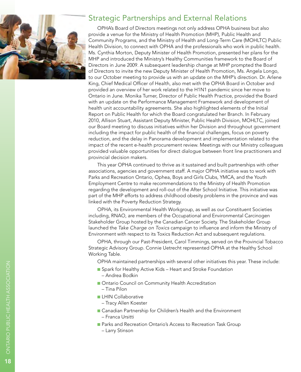

## Strategic Partnerships and External Relations

OPHA's Board of Directors meetings not only address OPHA business but also provide a venue for the Ministry of Health Promotion (MHP), Public Health and Community Programs, and the Ministry of Health and Long-Term Care (MOHLTC) Public Health Division, to connect with OPHA and the professionals who work in public health. Ms. Cynthia Morton, Deputy Minister of Health Promotion, presented her plans for the MHP and introduced the Ministry's Healthy Communities framework to the Board of Directors in June 2009. A subsequent leadership change at MHP prompted the Board of Directors to invite the new Deputy Minister of Health Promotion, Ms. Angela Longo, to our October meeting to provide us with an update on the MHP's direction. Dr. Arlene King, Chief Medical Officer of Health, also met with the OPHA Board in October and provided an overview of her work related to the H1 N1 pandemic since her move to Ontario in June. Monika Turner, Director of Public Health Practice, provided the Board with an update on the Performance Management Framework and development of health unit accountability agreements. She also highlighted elements of the Initial Report on Public Health for which the Board congratulated her Branch. In February 2010, Allison Stuart, Assistant Deputy Minister, Public Health Division, MOH LT C, joined our Board meeting to discuss initiatives within her Division and throughout government including the impact for public health of the financial challenges, focus on poverty reduction, and the delay in Panorama development and implementation related to the impact of the recent e-health procurement review. Meetings with our Ministry colleagues provided valuable opportunities for direct dialogue between front line practitioners and provincial decision makers.

This year OPHA continued to thrive as it sustained and built partnerships with other associations, agencies and government staff. A major OPHA initiative was to work with Parks and Recreation Ontario, Ophea, Boys and Girls Clubs, YMCA, and the Youth Employment Centre to make recommendations to the Ministry of Health Promotion regarding the development and roll-out of the After School Initiative. This initiative was part of the MHP efforts to address childhood obesity problems in the province and was linked with the Poverty Reduction Strategy.

OPHA, its Environmental Health Workgroup, as well as our Constituent Societies including, R NAO, are members of the Occupational and Environmental Carcinogen Stakeholder Group hosted by the Canadian Cancer Society. The Stakeholder Group launched the *Take Charge on Toxics* campaign to influence and inform the Ministry of Environment with respect to its Toxics Reduction Act and subsequent regulations.

OPHA, through our Past-President, Carol Timmings, served on the Provincial Tobacco Strategic Advisory Group. Connie Uetrecht represented OPHA at the Healthy School Working Table.

OPHA maintained partnerships with several other initiatives this year. These include:

- Spark for Healthy Active Kids Heart and Stroke Foundation – Andrea Bodkin
- **n** Ontario Council on Community Health Accreditation
	- Tina Pilon
- **LHIN Collaborative** 
	- Tracy Allen Koester
- Canadian Partnership for Children's Health and the Environment – Franca Ursitti
- **Parks and Recreation Ontario's Access to Recreation Task Group** – Larry Stinson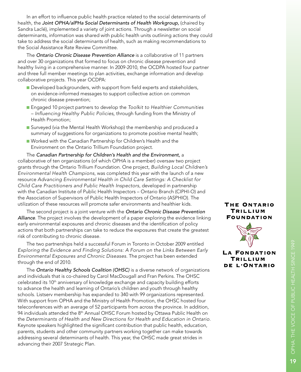In an effort to influence public health practice related to the social determinants of health, the *Joint OPHA/alPHa Social Determinants of Health Workgroup*, (chaired by Sandra Laclé), implemented a variety of joint actions. Through a newsletter on social determinants, information was shared with public health units outlining actions they could take to address the social determinants of health, such as making recommendations to the Social Assistance Rate Review Committee.

The *Ontario Chronic Disease Prevention Alliance* is a collaborative of 11 partners and over 30 organizations that formed to focus on chronic disease prevention and healthy living in a comprehensive manner. In 2009-2010, the O CDPA hosted four partner and three full member meetings to plan activities, exchange information and develop collaborative projects. This year O CDPA:

- Developed backgrounders, with support from field experts and stakeholders, on evidence-informed messages to support collective action on common chronic disease prevention;
- Engaged 10 project partners to develop the *Toolkit to Healthier Communities – Influencing Healthy Public Policies,* through funding from the Ministry of Health Promotion;
- Surveyed (via the Mental Health Workshop) the membership and produced a summary of suggestions for organizations to promote positive mental health;
- Worked with the Canadian Partnership for Children's Health and the Environment on the Ontario Trillium Foundation project.

The *Canadian Partnership for Children's Health and the Environment,* a collaborative of ten organizations (of which OPHA is a member) oversaw two project grants through the Ontario Trillium Foundation. One project, *Building Local Children's Environmental Health Champions*, was completed this year with the launch of a new resource *Advancing Environmental Health in Child Care Settings: A Checklist for Child Care Practitioners and Public Health Inspectors*, developed in partnership with the Canadian Institute of Public Health Inspectors – Ontario Branch (CIPHI-O) and the Association of Supervisors of Public Health Inspectors of Ontario (A SPH IO). The utilization of these resources will promote safer environments and healthier kids.

The second project is a joint venture with the *Ontario Chronic Disease Prevention Alliance*. The project involves the development of a paper exploring the evidence linking early environmental exposures and chronic diseases and the identification of policy actions that both partnerships can take to reduce the exposures that create the greatest risk of contributing to chronic disease.

The two partnerships held a successful Forum in Toronto in October 2009 entitled *Exploring the Evidence and Finding Solutions: A Forum on the Links Between Early Environmental Exposures and Chronic Diseases*. The project has been extended through the end of 2010.

The *Ontario Healthy Schools Coalition (OHSC)* is a diverse network of organizations and individuals that is co-chaired by Carol MacDougall and Fran Perkins. The OHS celebrated its 10<sup>th</sup> anniversary of knowledge exchange and capacity building efforts to advance the health and learning of Ontario's children and youth through healthy schools. Listserv membership has expanded to 340 with 99 organizations represented. With support from OPHA and the Ministry of Health Promotion, the OHSC hosted four teleconferences with an average of 52 participants from across the province. In addition, 94 individuals attended the 8<sup>th</sup> Annual OHSC Forum hosted by Ottawa Public Health on the *Determinants of Health and New Directions for Health and Education in Ontario*. Keynote speakers highlighted the significant contribution that public health, education, parents, students and other community partners working together can make towards addressing several determinants of health. This year, the OHSC made great strides in advancing their 2007 Strategic Plan.

### THE ONTARIO TRILLIUM **FOUNDATION**



### **LA FONDATION** TRILLIUM DE L'ONTARIO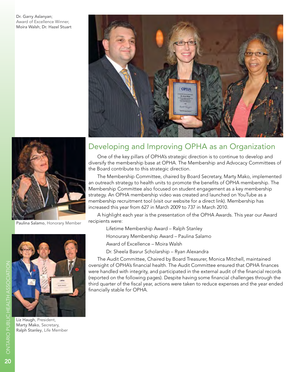Dr. Garry Aslanyan; Award of Excellence Winner, Moira Walsh; Dr. Hazel Stuart





Paulina Salamo, Honorary Member



Liz Haugh, President, Marty Mako, Secretary, Ralph Stanley, Life Member

# Developing and Improving OPHA as an Organization

One of the key pillars of OPHA's strategic direction is to continue to develop and diversify the membership base at OPHA. The Membership and Advocacy Committees of the Board contribute to this strategic direction.

The Membership Committee, chaired by Board Secretary, Marty Mako, implemented an outreach strategy to health units to promote the benefits of OPHA membership. The Membership Committee also focused on student engagement as a key membership strategy. An OPHA membership video was created and launched on YouTube as a membership recruitment tool (visit our website for a direct link). Membership has increased this year from 627 in March 2009 to 737 in March 2010.

A highlight each year is the presentation of the OPHA Awards. This year our Award recipients were:

Lifetime Membership Award – Ralph Stanley

Honourary Membership Award – Paulina Salamo

Award of Excellence – Moira Walsh

Dr. Sheela Basrur Scholarship – Ryan Alexandra

The Audit Committee, Chaired by Board Treasurer, Monica Mitchell, maintained oversight of OPHA's financial health. The Audit Committee ensured that OPHA finances were handled with integrity, and participated in the external audit of the financial records (reported on the following pages). Despite having some financial challenges through the third quarter of the fiscal year, actions were taken to reduce expenses and the year ended financially stable for OPHA.

 $\boldsymbol{\mathcal{Z}}$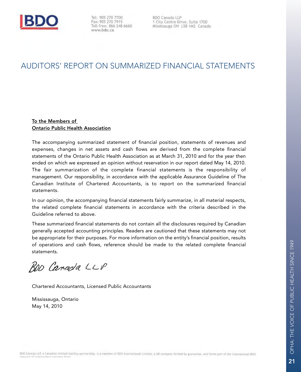

Tel: 905 270 7700 Fax: 905 270 7915 Toll-free: 866 248 6660 www.bdo.ca

**BDO Canada LLP** 1 City Centre Drive, Suite 1700 Mississauga ON L5B 1M2 Canada

# Auditors' Report on Summarized Financial Statements

#### To the Members of Ontario Public Health Association

The accompanying summarized statement of financial position, statements of revenues and expenses, changes in net assets and cash flows are derived from the complete financial statements of the Ontario Public Health Association as at March 31, 2010 and for the year then ended on which we expressed an opinion without reservation in our report dated May 14, 2010. The fair summarization of the complete financial statements is the responsibility of management. Our responsibility, in accordance with the applicable Assurance Guideline of The Canadian Institute of Chartered Accountants, is to report on the summarized financial statements.

In our opinion, the accompanying financial statements fairly summarize, in all material respects, the related complete financial statements in accordance with the criteria described in the Guideline referred to above.

These summarized financial statements do not contain all the disclosures required by Canadian generally accepted accounting principles. Readers are cautioned that these statements may not be appropriate for their purposes. For more information on the entity's financial position, results of operations and cash flows, reference should be made to the related complete financial statements.

BOD Canada LLP

Chartered Accountants, Licensed Public Accountants

Mississauga, Ontario May 14, 2010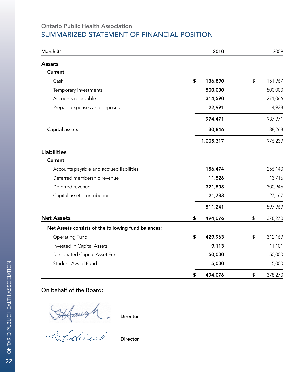## Ontario Public Health Association Summarized Statement of Financial Position

| March 31                                            |                           | 2010      |                                                   | 2009    |
|-----------------------------------------------------|---------------------------|-----------|---------------------------------------------------|---------|
| <b>Assets</b>                                       |                           |           |                                                   |         |
| Current                                             |                           |           |                                                   |         |
| Cash                                                | $\boldsymbol{\mathsf{S}}$ | 136,890   | \$                                                | 151,967 |
| Temporary investments                               |                           | 500,000   |                                                   | 500,000 |
| Accounts receivable                                 |                           | 314,590   |                                                   | 271,066 |
| Prepaid expenses and deposits                       |                           | 22,991    |                                                   | 14,938  |
|                                                     |                           | 974,471   |                                                   | 937,971 |
| Capital assets                                      |                           | 30,846    |                                                   | 38,268  |
|                                                     |                           | 1,005,317 |                                                   | 976,239 |
| <b>Liabilities</b>                                  |                           |           |                                                   |         |
| <b>Current</b>                                      |                           |           |                                                   |         |
| Accounts payable and accrued liabilities            |                           | 156,474   |                                                   | 256,140 |
| Deferred membership revenue                         |                           | 11,526    |                                                   | 13,716  |
| Deferred revenue                                    |                           | 321,508   |                                                   | 300,946 |
| Capital assets contribution                         |                           | 21,733    |                                                   | 27,167  |
|                                                     |                           | 511,241   |                                                   | 597,969 |
| <b>Net Assets</b>                                   | \$                        | 494,076   | \$                                                | 378,270 |
| Net Assets consists of the following fund balances: |                           |           |                                                   |         |
| <b>Operating Fund</b>                               | \$                        | 429,963   | \$                                                | 312,169 |
| Invested in Capital Assets                          |                           | 9,113     |                                                   | 11,101  |
| Designated Capital Asset Fund                       |                           | 50,000    |                                                   | 50,000  |
| <b>Student Award Fund</b>                           |                           | 5,000     |                                                   | 5,000   |
|                                                     | \$                        | 494,076   | $\, \, \raisebox{-1.5pt}{\text{\circle*{1.5}}}\,$ | 378,270 |

## On behalf of the Board:

Director

Director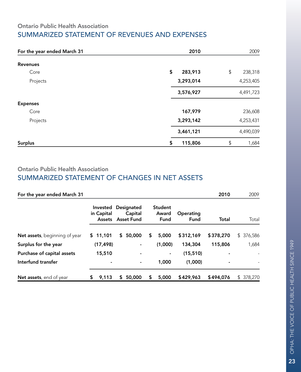## Ontario Public Health Association Summarized Statement of Revenues and Expenses

| For the year ended March 31 | 2010          | 2009                    |
|-----------------------------|---------------|-------------------------|
| <b>Revenues</b>             |               |                         |
| Core                        | \$<br>283,913 | \$<br>238,318           |
| Projects                    | 3,293,014     | 4,253,405               |
|                             | 3,576,927     | 4,491,723               |
| <b>Expenses</b>             |               |                         |
| Core                        | 167,979       | 236,608                 |
| Projects                    | 3,293,142     | 4,253,431               |
|                             | 3,461,121     | 4,490,039               |
| <b>Surplus</b>              | 115,806<br>S  | $\updownarrow$<br>1,684 |

## Ontario Public Health Association Summarized Statement of Changes in Net Assets

| For the year ended March 31           |    |                        |    |                                            |    |                                 |                   | 2010           | 2009          |
|---------------------------------------|----|------------------------|----|--------------------------------------------|----|---------------------------------|-------------------|----------------|---------------|
|                                       |    | Invested<br>in Capital |    | Designated<br>Capital<br>Assets Asset Fund |    | <b>Student</b><br>Award<br>Fund | Operating<br>Fund | Total          | Total         |
| <b>Net assets</b> , beginning of year |    | \$11,101               | S. | 50,000                                     | \$ | 5,000                           | \$312,169         | \$378,270      | \$376,586     |
| Surplus for the year                  |    | (17, 498)              |    | ۰                                          |    | (1,000)                         | 134,304           | 115,806        | 1,684         |
| Purchase of capital assets            |    | 15,510                 |    |                                            |    | ۰                               | (15, 510)         |                |               |
| Interfund transfer                    |    |                        |    |                                            |    | 1,000                           | (1,000)           | $\blacksquare$ |               |
| <b>Net assets</b> , end of year       | S. | 9,113                  | S. | 50,000                                     | S  | 5,000                           | \$429,963         | \$494,076      | \$<br>378,270 |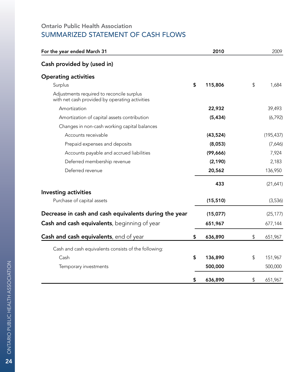## Ontario Public Health Association SUMMARIZED STATEMENT OF CASH FLOWS

| For the year ended March 31                                                                 | 2010          | 2009          |
|---------------------------------------------------------------------------------------------|---------------|---------------|
| Cash provided by (used in)                                                                  |               |               |
| <b>Operating activities</b>                                                                 |               |               |
| Surplus                                                                                     | \$<br>115,806 | \$<br>1,684   |
| Adjustments required to reconcile surplus<br>with net cash provided by operating activities |               |               |
| Amortization                                                                                | 22,932        | 39,493        |
| Amortization of capital assets contribution                                                 | (5, 434)      | (6, 792)      |
| Changes in non-cash working capital balances                                                |               |               |
| Accounts receivable                                                                         | (43, 524)     | (195, 437)    |
| Prepaid expenses and deposits                                                               | (8,053)       | (7,646)       |
| Accounts payable and accrued liabilities                                                    | (99, 666)     | 7,924         |
| Deferred membership revenue                                                                 | (2, 190)      | 2,183         |
| Deferred revenue                                                                            | 20,562        | 136,950       |
|                                                                                             | 433           | (21,641)      |
| <b>Investing activities</b>                                                                 |               |               |
| Purchase of capital assets                                                                  | (15, 510)     | (3,536)       |
| Decrease in cash and cash equivalents during the year                                       | (15,077)      | (25, 177)     |
| <b>Cash and cash equivalents</b> , beginning of year                                        | 651,967       | 677,144       |
| <b>Cash and cash equivalents</b> , end of year                                              | \$<br>636,890 | \$<br>651,967 |
| Cash and cash equivalents consists of the following:                                        |               |               |
| Cash                                                                                        | \$<br>136,890 | \$<br>151,967 |
| Temporary investments                                                                       | 500,000       | 500,000       |
|                                                                                             | \$<br>636,890 | \$<br>651,967 |